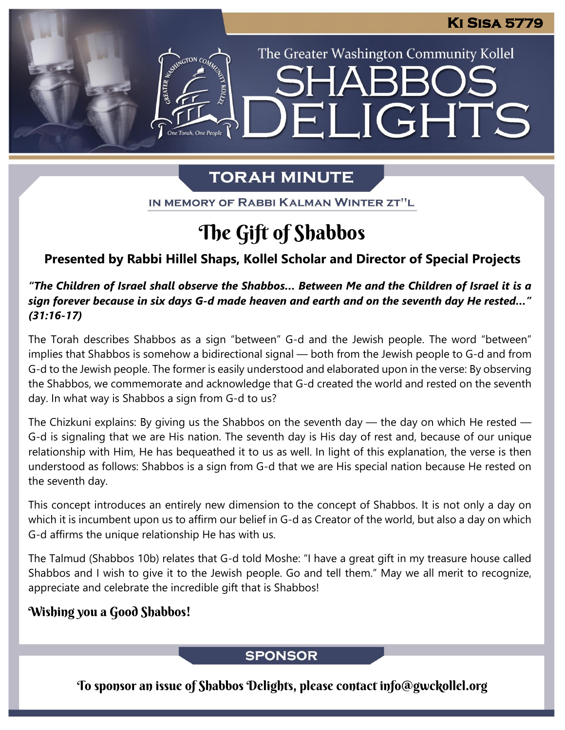The Greater Washington Community Kollel

ELIGHTS

# **TORAH MINUTE**

IN MEMORY OF RABBI KALMAN WINTER ZT"L

# The Gift of Shabbos

## **Presented by Rabbi Hillel Shaps, Kollel Scholar and Director of Special Projects**

### "The Children of Israel shall observe the Shabbos... Between Me and the Children of Israel it is a *sign forever because in six days G-d made heaven and earth and on the seventh day He rested…" (31:16-17)*

The Torah describes Shabbos as a sign "between" G-d and the Jewish people. The word "between" implies that Shabbos is somehow a bidirectional signal — both from the Jewish people to G-d and from G-d to the Jewish people. The former is easily understood and elaborated upon in the verse: By observing the Shabbos, we commemorate and acknowledge that G-d created the world and rested on the seventh day. In what way is Shabbos a sign from G-d to us?

The Chizkuni explains: By giving us the Shabbos on the seventh day  $-$  the day on which He rested  $-$ G-d is signaling that we are His nation. The seventh day is His day of rest and, because of our unique relationship with Him, He has bequeathed it to us as well. In light of this explanation, the verse is then understood as follows: Shabbos is a sign from G-d that we are His special nation because He rested on the seventh day.

This concept introduces an entirely new dimension to the concept of Shabbos. It is not only a day on which it is incumbent upon us to affirm our belief in G-d as Creator of the world, but also a day on which G-d affirms the unique relationship He has with us.

The Talmud (Shabbos 10b) relates that G-d told Moshe: "I have a great gift in my treasure house called Shabbos and I wish to give it to the Jewish people. Go and tell them." May we all merit to recognize, appreciate and celebrate the incredible gift that is Shabbos!

## Wishing you a Good Shabbos!

## **SPONSOR**

To sponsor an issue of Shabbos Delights, please contact info@gwckollel.org